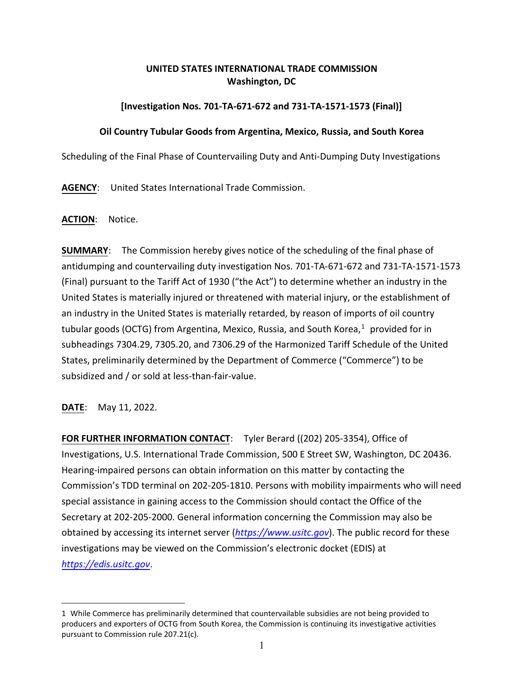## **UNITED STATES INTERNATIONAL TRADE COMMISSION Washington, DC**

## **[Investigation Nos. 701-TA-671-672 and 731-TA-1571-1573 (Final)]**

## **Oil Country Tubular Goods from Argentina, Mexico, Russia, and South Korea**

Scheduling of the Final Phase of Countervailing Duty and Anti-Dumping Duty Investigations

**AGENCY**: United States International Trade Commission.

**ACTION**: Notice.

**SUMMARY**: The Commission hereby gives notice of the scheduling of the final phase of antidumping and countervailing duty investigation Nos. 701-TA-671-672 and 731-TA-1571-1573 (Final) pursuant to the Tariff Act of 1930 ("the Act") to determine whether an industry in the United States is materially injured or threatened with material injury, or the establishment of an industry in the United States is materially retarded, by reason of imports of oil country tubular goods (OCTG) from Argentina, Mexico, Russia, and South Korea,<sup>[1](#page-0-0)</sup> provided for in subheadings 7304.29, 7305.20, and 7306.29 of the Harmonized Tariff Schedule of the United States, preliminarily determined by the Department of Commerce ("Commerce") to be subsidized and / or sold at less-than-fair-value.

**DATE**: May 11, 2022.

**FOR FURTHER INFORMATION CONTACT**: Tyler Berard ((202) 205-3354), Office of Investigations, U.S. International Trade Commission, 500 E Street SW, Washington, DC 20436. Hearing-impaired persons can obtain information on this matter by contacting the Commission's TDD terminal on 202-205-1810. Persons with mobility impairments who will need special assistance in gaining access to the Commission should contact the Office of the Secretary at 202-205-2000. General information concerning the Commission may also be obtained by accessing its internet server (*[https://www.usitc.gov](https://www.usitc.gov/)*). The public record for these investigations may be viewed on the Commission's electronic docket (EDIS) at *[https://edis.usitc.gov](https://edis.usitc.gov/)*.

<span id="page-0-0"></span><sup>1</sup> While Commerce has preliminarily determined that countervailable subsidies are not being provided to producers and exporters of OCTG from South Korea, the Commission is continuing its investigative activities pursuant to Commission rule 207.21(c).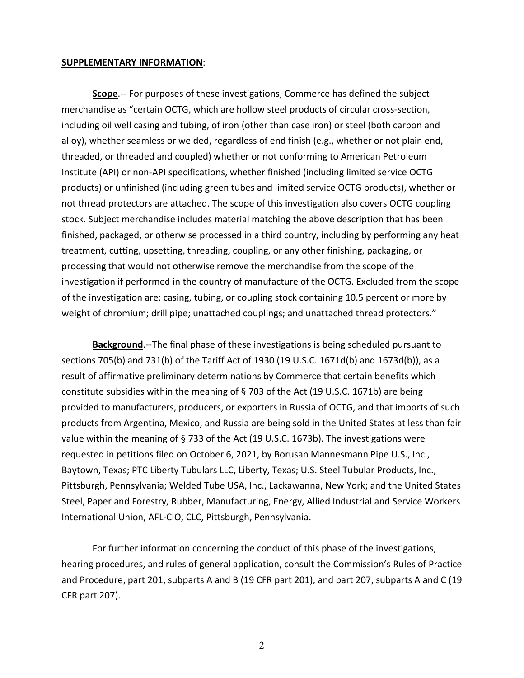## **SUPPLEMENTARY INFORMATION**:

**Scope**.-- For purposes of these investigations, Commerce has defined the subject merchandise as "certain OCTG, which are hollow steel products of circular cross-section, including oil well casing and tubing, of iron (other than case iron) or steel (both carbon and alloy), whether seamless or welded, regardless of end finish (e.g., whether or not plain end, threaded, or threaded and coupled) whether or not conforming to American Petroleum Institute (API) or non-API specifications, whether finished (including limited service OCTG products) or unfinished (including green tubes and limited service OCTG products), whether or not thread protectors are attached. The scope of this investigation also covers OCTG coupling stock. Subject merchandise includes material matching the above description that has been finished, packaged, or otherwise processed in a third country, including by performing any heat treatment, cutting, upsetting, threading, coupling, or any other finishing, packaging, or processing that would not otherwise remove the merchandise from the scope of the investigation if performed in the country of manufacture of the OCTG. Excluded from the scope of the investigation are: casing, tubing, or coupling stock containing 10.5 percent or more by weight of chromium; drill pipe; unattached couplings; and unattached thread protectors."

**Background**.--The final phase of these investigations is being scheduled pursuant to sections 705(b) and 731(b) of the Tariff Act of 1930 (19 U.S.C. 1671d(b) and 1673d(b)), as a result of affirmative preliminary determinations by Commerce that certain benefits which constitute subsidies within the meaning of § 703 of the Act (19 U.S.C. 1671b) are being provided to manufacturers, producers, or exporters in Russia of OCTG, and that imports of such products from Argentina, Mexico, and Russia are being sold in the United States at less than fair value within the meaning of § 733 of the Act (19 U.S.C. 1673b). The investigations were requested in petitions filed on October 6, 2021, by Borusan Mannesmann Pipe U.S., Inc., Baytown, Texas; PTC Liberty Tubulars LLC, Liberty, Texas; U.S. Steel Tubular Products, Inc., Pittsburgh, Pennsylvania; Welded Tube USA, Inc., Lackawanna, New York; and the United States Steel, Paper and Forestry, Rubber, Manufacturing, Energy, Allied Industrial and Service Workers International Union, AFL-CIO, CLC, Pittsburgh, Pennsylvania.

For further information concerning the conduct of this phase of the investigations, hearing procedures, and rules of general application, consult the Commission's Rules of Practice and Procedure, part 201, subparts A and B (19 CFR part 201), and part 207, subparts A and C (19 CFR part 207).

2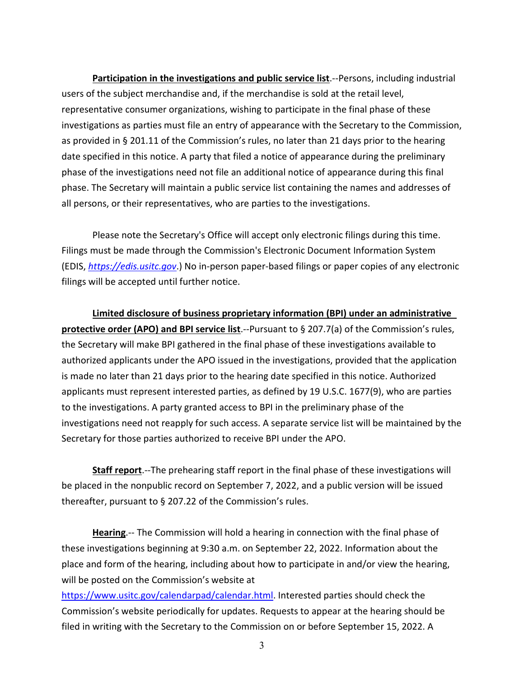**Participation in the investigations and public service list**.--Persons, including industrial users of the subject merchandise and, if the merchandise is sold at the retail level, representative consumer organizations, wishing to participate in the final phase of these investigations as parties must file an entry of appearance with the Secretary to the Commission, as provided in § 201.11 of the Commission's rules, no later than 21 days prior to the hearing date specified in this notice. A party that filed a notice of appearance during the preliminary phase of the investigations need not file an additional notice of appearance during this final phase. The Secretary will maintain a public service list containing the names and addresses of all persons, or their representatives, who are parties to the investigations.

Please note the Secretary's Office will accept only electronic filings during this time. Filings must be made through the Commission's Electronic Document Information System (EDIS, *[https://edis.usitc.gov](https://edis.usitc.gov/)*.) No in-person paper-based filings or paper copies of any electronic filings will be accepted until further notice.

**Limited disclosure of business proprietary information (BPI) under an administrative protective order (APO) and BPI service list**.--Pursuant to § 207.7(a) of the Commission's rules, the Secretary will make BPI gathered in the final phase of these investigations available to authorized applicants under the APO issued in the investigations, provided that the application is made no later than 21 days prior to the hearing date specified in this notice. Authorized applicants must represent interested parties, as defined by 19 U.S.C. 1677(9), who are parties to the investigations. A party granted access to BPI in the preliminary phase of the investigations need not reapply for such access. A separate service list will be maintained by the Secretary for those parties authorized to receive BPI under the APO.

**Staff report**.--The prehearing staff report in the final phase of these investigations will be placed in the nonpublic record on September 7, 2022, and a public version will be issued thereafter, pursuant to § 207.22 of the Commission's rules.

**Hearing**.-- The Commission will hold a hearing in connection with the final phase of these investigations beginning at 9:30 a.m. on September 22, 2022. Information about the place and form of the hearing, including about how to participate in and/or view the hearing, will be posted on the Commission's website at

[https://www.usitc.gov/calendarpad/calendar.html.](https://www.usitc.gov/calendarpad/calendar.html) Interested parties should check the Commission's website periodically for updates. Requests to appear at the hearing should be filed in writing with the Secretary to the Commission on or before September 15, 2022. A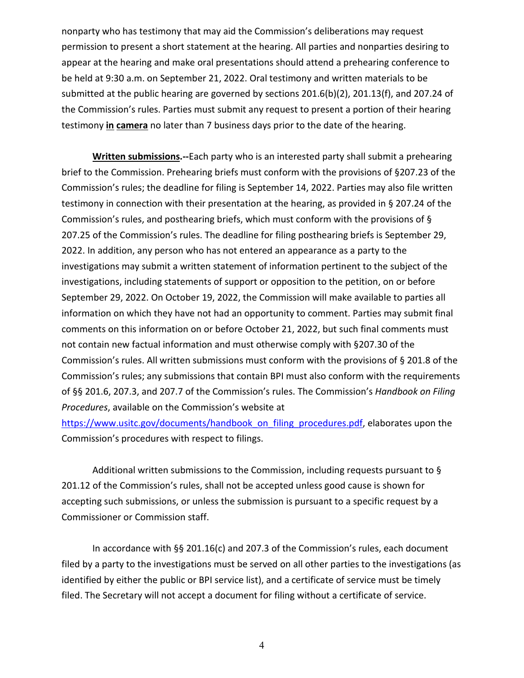nonparty who has testimony that may aid the Commission's deliberations may request permission to present a short statement at the hearing. All parties and nonparties desiring to appear at the hearing and make oral presentations should attend a prehearing conference to be held at 9:30 a.m. on September 21, 2022. Oral testimony and written materials to be submitted at the public hearing are governed by sections 201.6(b)(2), 201.13(f), and 207.24 of the Commission's rules. Parties must submit any request to present a portion of their hearing testimony **in camera** no later than 7 business days prior to the date of the hearing.

**Written submissions.--**Each party who is an interested party shall submit a prehearing brief to the Commission. Prehearing briefs must conform with the provisions of §207.23 of the Commission's rules; the deadline for filing is September 14, 2022. Parties may also file written testimony in connection with their presentation at the hearing, as provided in § 207.24 of the Commission's rules, and posthearing briefs, which must conform with the provisions of § 207.25 of the Commission's rules. The deadline for filing posthearing briefs is September 29, 2022. In addition, any person who has not entered an appearance as a party to the investigations may submit a written statement of information pertinent to the subject of the investigations, including statements of support or opposition to the petition, on or before September 29, 2022. On October 19, 2022, the Commission will make available to parties all information on which they have not had an opportunity to comment. Parties may submit final comments on this information on or before October 21, 2022, but such final comments must not contain new factual information and must otherwise comply with §207.30 of the Commission's rules. All written submissions must conform with the provisions of § 201.8 of the Commission's rules; any submissions that contain BPI must also conform with the requirements of §§ 201.6, 207.3, and 207.7 of the Commission's rules. The Commission's *Handbook on Filing Procedures*, available on the Commission's website at

[https://www.usitc.gov/documents/handbook\\_on\\_filing\\_procedures.pdf,](https://www.usitc.gov/documents/handbook_on_filing_procedures.pdf) elaborates upon the Commission's procedures with respect to filings.

Additional written submissions to the Commission, including requests pursuant to § 201.12 of the Commission's rules, shall not be accepted unless good cause is shown for accepting such submissions, or unless the submission is pursuant to a specific request by a Commissioner or Commission staff.

In accordance with §§ 201.16(c) and 207.3 of the Commission's rules, each document filed by a party to the investigations must be served on all other parties to the investigations (as identified by either the public or BPI service list), and a certificate of service must be timely filed. The Secretary will not accept a document for filing without a certificate of service.

4